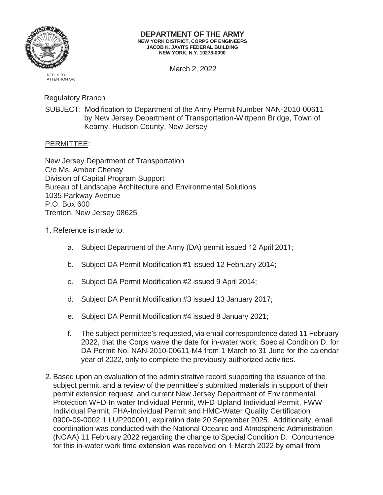

## **DEPARTMENT OF THE ARMY NEW YORK DISTRICT, CORPS OF ENGINEERS JACOB K. JAVITS FEDERAL BUILDING NEW YORK, N.Y. 10278-0090**

March 2, 2022

REPLY TO ATTENTION OF:

Regulatory Branch

SUBJECT: Modification to Department of the Army Permit Number NAN-2010-00611 by New Jersey Department of Transportation-Wittpenn Bridge, Town of Kearny, Hudson County, New Jersey

## PERMITTEE:

New Jersey Department of Transportation C/o Ms. Amber Cheney Division of Capital Program Support Bureau of Landscape Architecture and Environmental Solutions 1035 Parkway Avenue P.O. Box 600 Trenton, New Jersey 08625

- 1. Reference is made to:
	- a. Subject Department of the Army (DA) permit issued 12 April 2011;
	- b. Subject DA Permit Modification #1 issued 12 February 2014;
	- c. Subject DA Permit Modification #2 issued 9 April 2014;
	- d. Subject DA Permit Modification #3 issued 13 January 2017;
	- e. Subject DA Permit Modification #4 issued 8 January 2021;
	- f. The subject permittee's requested, via email correspondence dated 11 February 2022, that the Corps waive the date for in-water work, Special Condition D, for DA Permit No. NAN-2010-00611-M4 from 1 March to 31 June for the calendar year of 2022, only to complete the previously authorized activities.
- 2. Based upon an evaluation of the administrative record supporting the issuance of the subject permit, and a review of the permittee's submitted materials in support of their permit extension request, and current New Jersey Department of Environmental Protection WFD-In water Individual Permit, WFD-Upland Individual Permit, FWW-Individual Permit, FHA-Individual Permit and HMC-Water Quality Certification 0900-09-0002.1 LUP200001, expiration date 20 September 2025. Additionally, email coordination was conducted with the National Oceanic and Atmospheric Administration (NOAA) 11 February 2022 regarding the change to Special Condition D. Concurrence for this in-water work time extension was received on 1 March 2022 by email from